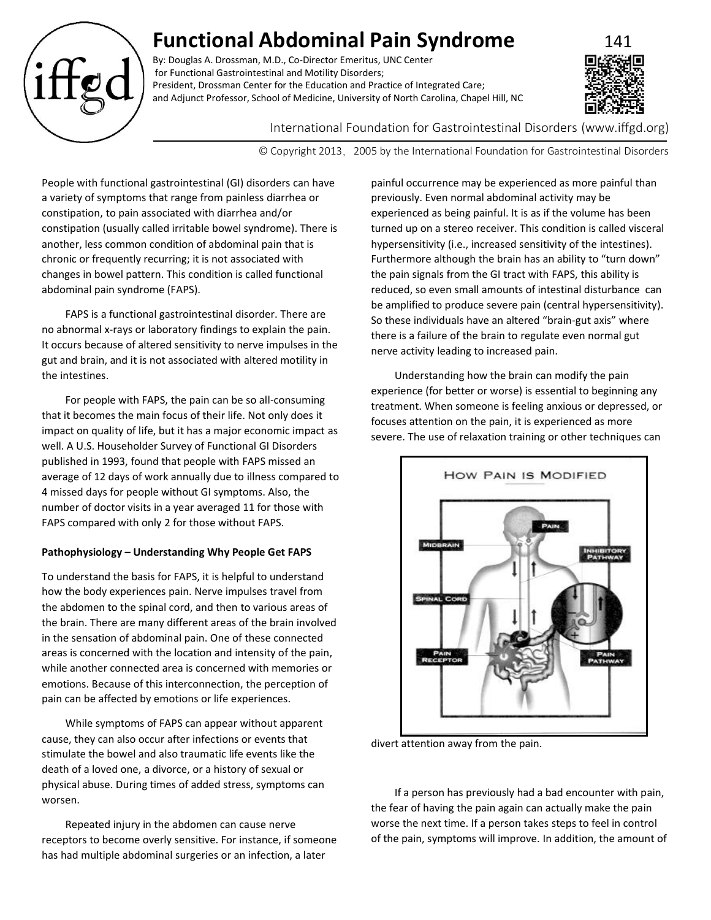# **Functional Abdominal Pain Syndrome** 141

By: Douglas A. Drossman, M.D., Co-Director Emeritus, UNC Center for Functional Gastrointestinal and Motility Disorders; President, Drossman Center for the Education and Practice of Integrated Care; and Adjunct Professor, School of Medicine, University of North Carolina, Chapel Hill, NC



## International Foundation for Gastrointestinal Disorders (www.iffgd.org)

© Copyright 2013,2005 by the International Foundation for Gastrointestinal Disorders

People with functional gastrointestinal (GI) disorders can have a variety of symptoms that range from painless diarrhea or constipation, to pain associated with diarrhea and/or constipation (usually called irritable bowel syndrome). There is another, less common condition of abdominal pain that is chronic or frequently recurring; it is not associated with changes in bowel pattern. This condition is called functional abdominal pain syndrome (FAPS).

FAPS is a functional gastrointestinal disorder. There are no abnormal x-rays or laboratory findings to explain the pain. It occurs because of altered sensitivity to nerve impulses in the gut and brain, and it is not associated with altered motility in the intestines.

For people with FAPS, the pain can be so all-consuming that it becomes the main focus of their life. Not only does it impact on quality of life, but it has a major economic impact as well. A U.S. Householder Survey of Functional GI Disorders published in 1993, found that people with FAPS missed an average of 12 days of work annually due to illness compared to 4 missed days for people without GI symptoms. Also, the number of doctor visits in a year averaged 11 for those with FAPS compared with only 2 for those without FAPS.

## **Pathophysiology – Understanding Why People Get FAPS**

To understand the basis for FAPS, it is helpful to understand how the body experiences pain. Nerve impulses travel from the abdomen to the spinal cord, and then to various areas of the brain. There are many different areas of the brain involved in the sensation of abdominal pain. One of these connected areas is concerned with the location and intensity of the pain, while another connected area is concerned with memories or emotions. Because of this interconnection, the perception of pain can be affected by emotions or life experiences.

While symptoms of FAPS can appear without apparent cause, they can also occur after infections or events that stimulate the bowel and also traumatic life events like the death of a loved one, a divorce, or a history of sexual or physical abuse. During times of added stress, symptoms can worsen.

Repeated injury in the abdomen can cause nerve receptors to become overly sensitive. For instance, if someone has had multiple abdominal surgeries or an infection, a later

painful occurrence may be experienced as more painful than previously. Even normal abdominal activity may be experienced as being painful. It is as if the volume has been turned up on a stereo receiver. This condition is called visceral hypersensitivity (i.e., increased sensitivity of the intestines). Furthermore although the brain has an ability to "turn down" the pain signals from the GI tract with FAPS, this ability is reduced, so even small amounts of intestinal disturbance can be amplified to produce severe pain (central hypersensitivity). So these individuals have an altered "brain-gut axis" where there is a failure of the brain to regulate even normal gut nerve activity leading to increased pain.

Understanding how the brain can modify the pain experience (for better or worse) is essential to beginning any treatment. When someone is feeling anxious or depressed, or focuses attention on the pain, it is experienced as more severe. The use of relaxation training or other techniques can



divert attention away from the pain.

If a person has previously had a bad encounter with pain, the fear of having the pain again can actually make the pain worse the next time. If a person takes steps to feel in control of the pain, symptoms will improve. In addition, the amount of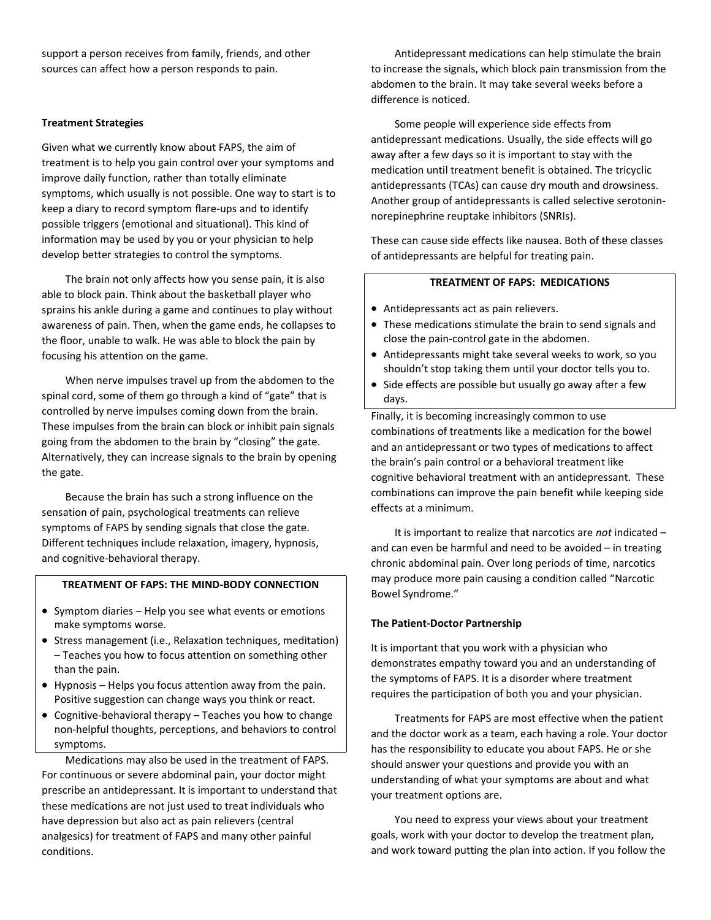support a person receives from family, friends, and other sources can affect how a person responds to pain.

#### **Treatment Strategies**

Given what we currently know about FAPS, the aim of treatment is to help you gain control over your symptoms and improve daily function, rather than totally eliminate symptoms, which usually is not possible. One way to start is to keep a diary to record symptom flare-ups and to identify possible triggers (emotional and situational). This kind of information may be used by you or your physician to help develop better strategies to control the symptoms.

The brain not only affects how you sense pain, it is also able to block pain. Think about the basketball player who sprains his ankle during a game and continues to play without awareness of pain. Then, when the game ends, he collapses to the floor, unable to walk. He was able to block the pain by focusing his attention on the game.

When nerve impulses travel up from the abdomen to the spinal cord, some of them go through a kind of "gate" that is controlled by nerve impulses coming down from the brain. These impulses from the brain can block or inhibit pain signals going from the abdomen to the brain by "closing" the gate. Alternatively, they can increase signals to the brain by opening the gate.

Because the brain has such a strong influence on the sensation of pain, psychological treatments can relieve symptoms of FAPS by sending signals that close the gate. Different techniques include relaxation, imagery, hypnosis, and cognitive-behavioral therapy.

### **TREATMENT OF FAPS: THE MIND-BODY CONNECTION**

- Symptom diaries Help you see what events or emotions make symptoms worse.
- Stress management (i.e., Relaxation techniques, meditation) – Teaches you how to focus attention on something other than the pain.
- Hypnosis Helps you focus attention away from the pain. Positive suggestion can change ways you think or react.
- Cognitive-behavioral therapy Teaches you how to change non-helpful thoughts, perceptions, and behaviors to control symptoms.

Medications may also be used in the treatment of FAPS. For continuous or severe abdominal pain, your doctor might prescribe an antidepressant. It is important to understand that these medications are not just used to treat individuals who have depression but also act as pain relievers (central analgesics) for treatment of FAPS and many other painful conditions.

Antidepressant medications can help stimulate the brain to increase the signals, which block pain transmission from the abdomen to the brain. It may take several weeks before a difference is noticed.

Some people will experience side effects from antidepressant medications. Usually, the side effects will go away after a few days so it is important to stay with the medication until treatment benefit is obtained. The tricyclic antidepressants (TCAs) can cause dry mouth and drowsiness. Another group of antidepressants is called selective serotoninnorepinephrine reuptake inhibitors (SNRIs).

These can cause side effects like nausea. Both of these classes of antidepressants are helpful for treating pain.

#### **TREATMENT OF FAPS: MEDICATIONS**

- Antidepressants act as pain relievers.
- These medications stimulate the brain to send signals and close the pain-control gate in the abdomen.
- Antidepressants might take several weeks to work, so you shouldn't stop taking them until your doctor tells you to.
- Side effects are possible but usually go away after a few days.

Finally, it is becoming increasingly common to use combinations of treatments like a medication for the bowel and an antidepressant or two types of medications to affect the brain's pain control or a behavioral treatment like cognitive behavioral treatment with an antidepressant. These combinations can improve the pain benefit while keeping side effects at a minimum.

It is important to realize that narcotics are *not* indicated – and can even be harmful and need to be avoided – in treating chronic abdominal pain. Over long periods of time, narcotics may produce more pain causing a condition called "Narcotic Bowel Syndrome."

#### **The Patient-Doctor Partnership**

It is important that you work with a physician who demonstrates empathy toward you and an understanding of the symptoms of FAPS. It is a disorder where treatment requires the participation of both you and your physician.

Treatments for FAPS are most effective when the patient and the doctor work as a team, each having a role. Your doctor has the responsibility to educate you about FAPS. He or she should answer your questions and provide you with an understanding of what your symptoms are about and what your treatment options are.

You need to express your views about your treatment goals, work with your doctor to develop the treatment plan, and work toward putting the plan into action. If you follow the